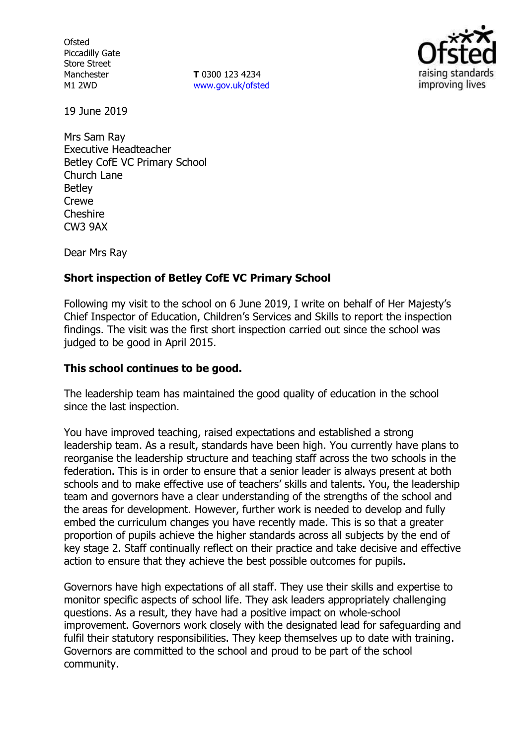**Ofsted** Piccadilly Gate Store Street Manchester M1 2WD

**T** 0300 123 4234 www.gov.uk/ofsted



19 June 2019

Mrs Sam Ray Executive Headteacher Betley CofE VC Primary School Church Lane Betley Crewe Cheshire CW3 9AX

Dear Mrs Ray

# **Short inspection of Betley CofE VC Primary School**

Following my visit to the school on 6 June 2019, I write on behalf of Her Majesty's Chief Inspector of Education, Children's Services and Skills to report the inspection findings. The visit was the first short inspection carried out since the school was judged to be good in April 2015.

## **This school continues to be good.**

The leadership team has maintained the good quality of education in the school since the last inspection.

You have improved teaching, raised expectations and established a strong leadership team. As a result, standards have been high. You currently have plans to reorganise the leadership structure and teaching staff across the two schools in the federation. This is in order to ensure that a senior leader is always present at both schools and to make effective use of teachers' skills and talents. You, the leadership team and governors have a clear understanding of the strengths of the school and the areas for development. However, further work is needed to develop and fully embed the curriculum changes you have recently made. This is so that a greater proportion of pupils achieve the higher standards across all subjects by the end of key stage 2. Staff continually reflect on their practice and take decisive and effective action to ensure that they achieve the best possible outcomes for pupils.

Governors have high expectations of all staff. They use their skills and expertise to monitor specific aspects of school life. They ask leaders appropriately challenging questions. As a result, they have had a positive impact on whole-school improvement. Governors work closely with the designated lead for safeguarding and fulfil their statutory responsibilities. They keep themselves up to date with training. Governors are committed to the school and proud to be part of the school community.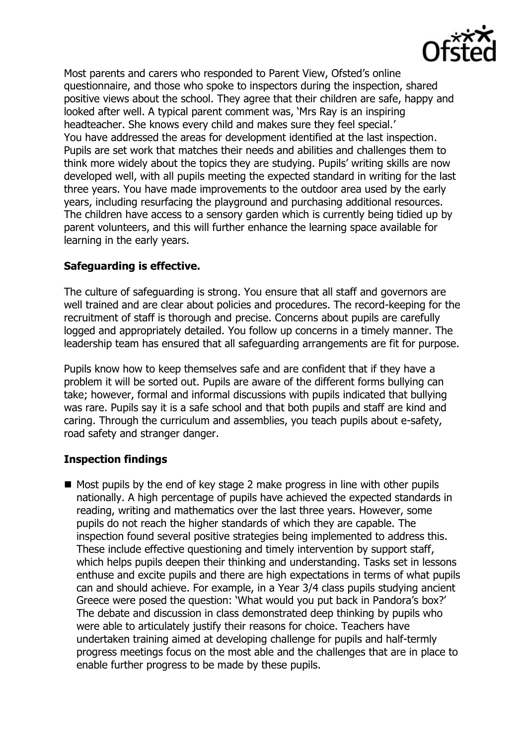

Most parents and carers who responded to Parent View, Ofsted's online questionnaire, and those who spoke to inspectors during the inspection, shared positive views about the school. They agree that their children are safe, happy and looked after well. A typical parent comment was, 'Mrs Ray is an inspiring headteacher. She knows every child and makes sure they feel special.' You have addressed the areas for development identified at the last inspection. Pupils are set work that matches their needs and abilities and challenges them to think more widely about the topics they are studying. Pupils' writing skills are now developed well, with all pupils meeting the expected standard in writing for the last three years. You have made improvements to the outdoor area used by the early years, including resurfacing the playground and purchasing additional resources. The children have access to a sensory garden which is currently being tidied up by parent volunteers, and this will further enhance the learning space available for learning in the early years.

# **Safeguarding is effective.**

The culture of safeguarding is strong. You ensure that all staff and governors are well trained and are clear about policies and procedures. The record-keeping for the recruitment of staff is thorough and precise. Concerns about pupils are carefully logged and appropriately detailed. You follow up concerns in a timely manner. The leadership team has ensured that all safeguarding arrangements are fit for purpose.

Pupils know how to keep themselves safe and are confident that if they have a problem it will be sorted out. Pupils are aware of the different forms bullying can take; however, formal and informal discussions with pupils indicated that bullying was rare. Pupils say it is a safe school and that both pupils and staff are kind and caring. Through the curriculum and assemblies, you teach pupils about e-safety, road safety and stranger danger.

# **Inspection findings**

 $\blacksquare$  Most pupils by the end of key stage 2 make progress in line with other pupils nationally. A high percentage of pupils have achieved the expected standards in reading, writing and mathematics over the last three years. However, some pupils do not reach the higher standards of which they are capable. The inspection found several positive strategies being implemented to address this. These include effective questioning and timely intervention by support staff, which helps pupils deepen their thinking and understanding. Tasks set in lessons enthuse and excite pupils and there are high expectations in terms of what pupils can and should achieve. For example, in a Year 3/4 class pupils studying ancient Greece were posed the question: 'What would you put back in Pandora's box?' The debate and discussion in class demonstrated deep thinking by pupils who were able to articulately justify their reasons for choice. Teachers have undertaken training aimed at developing challenge for pupils and half-termly progress meetings focus on the most able and the challenges that are in place to enable further progress to be made by these pupils.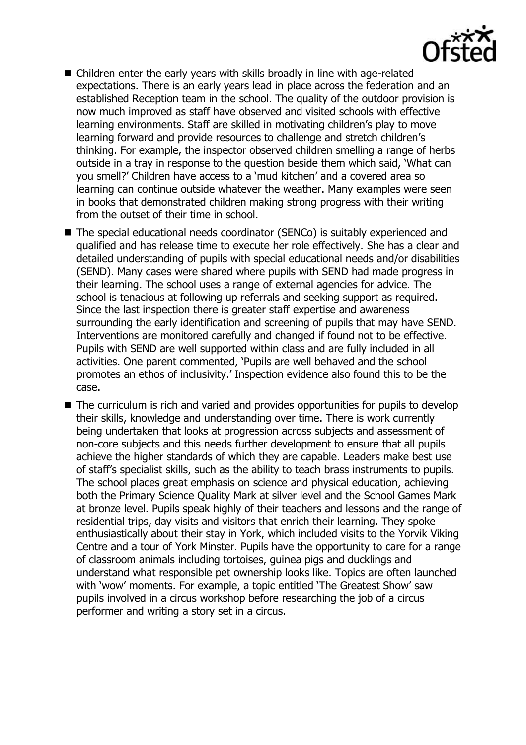

- Children enter the early years with skills broadly in line with age-related expectations. There is an early years lead in place across the federation and an established Reception team in the school. The quality of the outdoor provision is now much improved as staff have observed and visited schools with effective learning environments. Staff are skilled in motivating children's play to move learning forward and provide resources to challenge and stretch children's thinking. For example, the inspector observed children smelling a range of herbs outside in a tray in response to the question beside them which said, 'What can you smell?' Children have access to a 'mud kitchen' and a covered area so learning can continue outside whatever the weather. Many examples were seen in books that demonstrated children making strong progress with their writing from the outset of their time in school.
- The special educational needs coordinator (SENCo) is suitably experienced and qualified and has release time to execute her role effectively. She has a clear and detailed understanding of pupils with special educational needs and/or disabilities (SEND). Many cases were shared where pupils with SEND had made progress in their learning. The school uses a range of external agencies for advice. The school is tenacious at following up referrals and seeking support as required. Since the last inspection there is greater staff expertise and awareness surrounding the early identification and screening of pupils that may have SEND. Interventions are monitored carefully and changed if found not to be effective. Pupils with SEND are well supported within class and are fully included in all activities. One parent commented, 'Pupils are well behaved and the school promotes an ethos of inclusivity.' Inspection evidence also found this to be the case.
- The curriculum is rich and varied and provides opportunities for pupils to develop their skills, knowledge and understanding over time. There is work currently being undertaken that looks at progression across subjects and assessment of non-core subjects and this needs further development to ensure that all pupils achieve the higher standards of which they are capable. Leaders make best use of staff's specialist skills, such as the ability to teach brass instruments to pupils. The school places great emphasis on science and physical education, achieving both the Primary Science Quality Mark at silver level and the School Games Mark at bronze level. Pupils speak highly of their teachers and lessons and the range of residential trips, day visits and visitors that enrich their learning. They spoke enthusiastically about their stay in York, which included visits to the Yorvik Viking Centre and a tour of York Minster. Pupils have the opportunity to care for a range of classroom animals including tortoises, guinea pigs and ducklings and understand what responsible pet ownership looks like. Topics are often launched with 'wow' moments. For example, a topic entitled 'The Greatest Show' saw pupils involved in a circus workshop before researching the job of a circus performer and writing a story set in a circus.